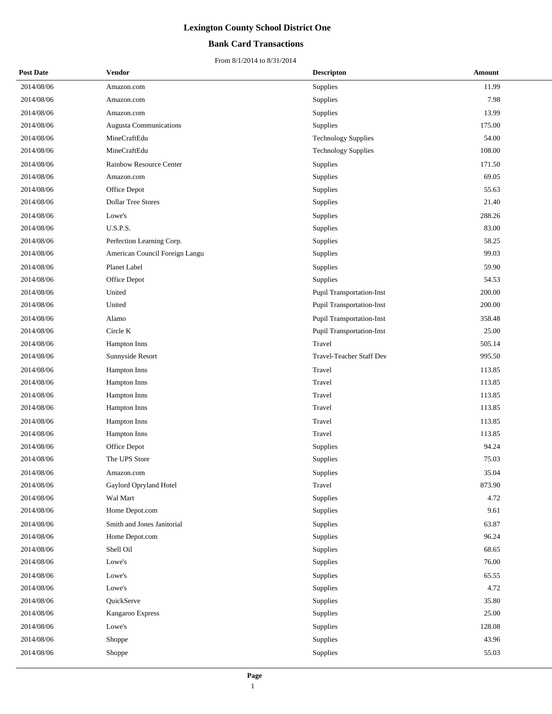## **Bank Card Transactions**

| <b>Post Date</b> | <b>Vendor</b>                  | <b>Descripton</b>                | Amount |
|------------------|--------------------------------|----------------------------------|--------|
| 2014/08/06       | Amazon.com                     | Supplies                         | 11.99  |
| 2014/08/06       | Amazon.com                     | Supplies                         | 7.98   |
| 2014/08/06       | Amazon.com                     | Supplies                         | 13.99  |
| 2014/08/06       | Augusta Communications         | Supplies                         | 175.00 |
| 2014/08/06       | MineCraftEdu                   | Technology Supplies              | 54.00  |
| 2014/08/06       | MineCraftEdu                   | <b>Technology Supplies</b>       | 108.00 |
| 2014/08/06       | Rainbow Resource Center        | Supplies                         | 171.50 |
| 2014/08/06       | Amazon.com                     | Supplies                         | 69.05  |
| 2014/08/06       | Office Depot                   | Supplies                         | 55.63  |
| 2014/08/06       | <b>Dollar Tree Stores</b>      | Supplies                         | 21.40  |
| 2014/08/06       | Lowe's                         | Supplies                         | 288.26 |
| 2014/08/06       | <b>U.S.P.S.</b>                | Supplies                         | 83.00  |
| 2014/08/06       | Perfection Learning Corp.      | Supplies                         | 58.25  |
| 2014/08/06       | American Council Foreign Langu | Supplies                         | 99.03  |
| 2014/08/06       | Planet Label                   | Supplies                         | 59.90  |
| 2014/08/06       | Office Depot                   | Supplies                         | 54.53  |
| 2014/08/06       | United                         | <b>Pupil Transportation-Inst</b> | 200.00 |
| 2014/08/06       | United                         | <b>Pupil Transportation-Inst</b> | 200.00 |
| 2014/08/06       | Alamo                          | <b>Pupil Transportation-Inst</b> | 358.48 |
| 2014/08/06       | Circle K                       | Pupil Transportation-Inst        | 25.00  |
| 2014/08/06       | Hampton Inns                   | Travel                           | 505.14 |
| 2014/08/06       | Sunnyside Resort               | Travel-Teacher Staff Dev         | 995.50 |
| 2014/08/06       | Hampton Inns                   | Travel                           | 113.85 |
| 2014/08/06       | Hampton Inns                   | Travel                           | 113.85 |
| 2014/08/06       | Hampton Inns                   | Travel                           | 113.85 |
| 2014/08/06       | Hampton Inns                   | Travel                           | 113.85 |
| 2014/08/06       | Hampton Inns                   | Travel                           | 113.85 |
| 2014/08/06       | Hampton Inns                   | Travel                           | 113.85 |
| 2014/08/06       | Office Depot                   | Supplies                         | 94.24  |
| 2014/08/06       | The UPS Store                  | Supplies                         | 75.03  |
| 2014/08/06       | Amazon.com                     | Supplies                         | 35.04  |
| 2014/08/06       | Gaylord Opryland Hotel         | Travel                           | 873.90 |
| 2014/08/06       | Wal Mart                       | Supplies                         | 4.72   |
| 2014/08/06       | Home Depot.com                 | Supplies                         | 9.61   |
| 2014/08/06       | Smith and Jones Janitorial     | Supplies                         | 63.87  |
| 2014/08/06       | Home Depot.com                 | Supplies                         | 96.24  |
| 2014/08/06       | Shell Oil                      | Supplies                         | 68.65  |
| 2014/08/06       | Lowe's                         | Supplies                         | 76.00  |
| 2014/08/06       | Lowe's                         | Supplies                         | 65.55  |
| 2014/08/06       | Lowe's                         | Supplies                         | 4.72   |
| 2014/08/06       | QuickServe                     | Supplies                         | 35.80  |
| 2014/08/06       | Kangaroo Express               | Supplies                         | 25.00  |
| 2014/08/06       | Lowe's                         | Supplies                         | 128.08 |
| 2014/08/06       | Shoppe                         | Supplies                         | 43.96  |
| 2014/08/06       | Shoppe                         | Supplies                         | 55.03  |
|                  |                                |                                  |        |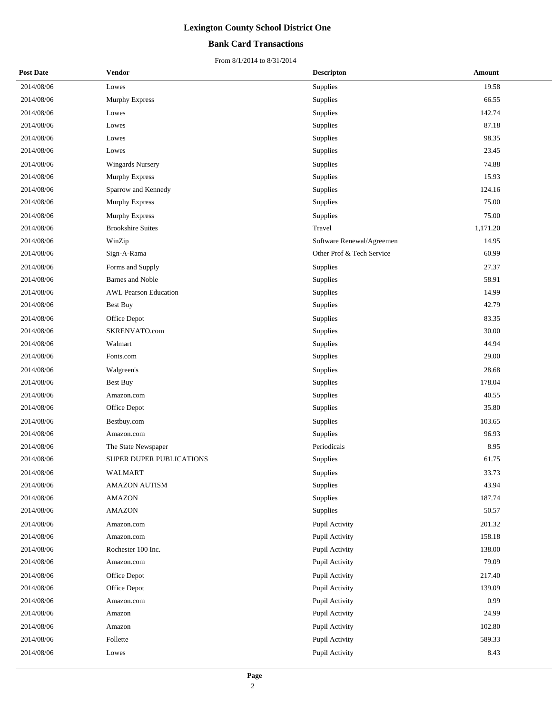## **Bank Card Transactions**

| <b>Post Date</b> | <b>Vendor</b>                   | <b>Descripton</b>         | Amount   |
|------------------|---------------------------------|---------------------------|----------|
| 2014/08/06       | Lowes                           | Supplies                  | 19.58    |
| 2014/08/06       | Murphy Express                  | Supplies                  | 66.55    |
| 2014/08/06       | Lowes                           | Supplies                  | 142.74   |
| 2014/08/06       | Lowes                           | Supplies                  | 87.18    |
| 2014/08/06       | Lowes                           | Supplies                  | 98.35    |
| 2014/08/06       | Lowes                           | Supplies                  | 23.45    |
| 2014/08/06       | <b>Wingards Nursery</b>         | Supplies                  | 74.88    |
| 2014/08/06       | Murphy Express                  | Supplies                  | 15.93    |
| 2014/08/06       | Sparrow and Kennedy             | Supplies                  | 124.16   |
| 2014/08/06       | Murphy Express                  | Supplies                  | 75.00    |
| 2014/08/06       | Murphy Express                  | Supplies                  | 75.00    |
| 2014/08/06       | <b>Brookshire Suites</b>        | Travel                    | 1,171.20 |
| 2014/08/06       | WinZip                          | Software Renewal/Agreemen | 14.95    |
| 2014/08/06       | Sign-A-Rama                     | Other Prof & Tech Service | 60.99    |
| 2014/08/06       | Forms and Supply                | Supplies                  | 27.37    |
| 2014/08/06       | <b>Barnes and Noble</b>         | Supplies                  | 58.91    |
| 2014/08/06       | <b>AWL Pearson Education</b>    | Supplies                  | 14.99    |
| 2014/08/06       | Best Buy                        | Supplies                  | 42.79    |
| 2014/08/06       | Office Depot                    | Supplies                  | 83.35    |
| 2014/08/06       | SKRENVATO.com                   | Supplies                  | 30.00    |
| 2014/08/06       | Walmart                         | Supplies                  | 44.94    |
| 2014/08/06       | Fonts.com                       | Supplies                  | 29.00    |
| 2014/08/06       | Walgreen's                      | Supplies                  | 28.68    |
| 2014/08/06       | <b>Best Buy</b>                 | Supplies                  | 178.04   |
| 2014/08/06       | Amazon.com                      | Supplies                  | 40.55    |
| 2014/08/06       | Office Depot                    | Supplies                  | 35.80    |
| 2014/08/06       | Bestbuy.com                     | Supplies                  | 103.65   |
| 2014/08/06       | Amazon.com                      | Supplies                  | 96.93    |
| 2014/08/06       | The State Newspaper             | Periodicals               | 8.95     |
| 2014/08/06       | <b>SUPER DUPER PUBLICATIONS</b> | Supplies                  | 61.75    |
| 2014/08/06       | WALMART                         | Supplies                  | 33.73    |
| 2014/08/06       | <b>AMAZON AUTISM</b>            | Supplies                  | 43.94    |
| 2014/08/06       | <b>AMAZON</b>                   | Supplies                  | 187.74   |
| 2014/08/06       | <b>AMAZON</b>                   | Supplies                  | 50.57    |
| 2014/08/06       | Amazon.com                      | Pupil Activity            | 201.32   |
| 2014/08/06       | Amazon.com                      | Pupil Activity            | 158.18   |
| 2014/08/06       | Rochester 100 Inc.              | Pupil Activity            | 138.00   |
| 2014/08/06       | Amazon.com                      | Pupil Activity            | 79.09    |
| 2014/08/06       | Office Depot                    | Pupil Activity            | 217.40   |
| 2014/08/06       | Office Depot                    | Pupil Activity            | 139.09   |
| 2014/08/06       | Amazon.com                      | Pupil Activity            | 0.99     |
| 2014/08/06       | Amazon                          | Pupil Activity            | 24.99    |
| 2014/08/06       | Amazon                          | Pupil Activity            | 102.80   |
| 2014/08/06       | Follette                        | Pupil Activity            | 589.33   |
| 2014/08/06       | Lowes                           | Pupil Activity            | 8.43     |
|                  |                                 |                           |          |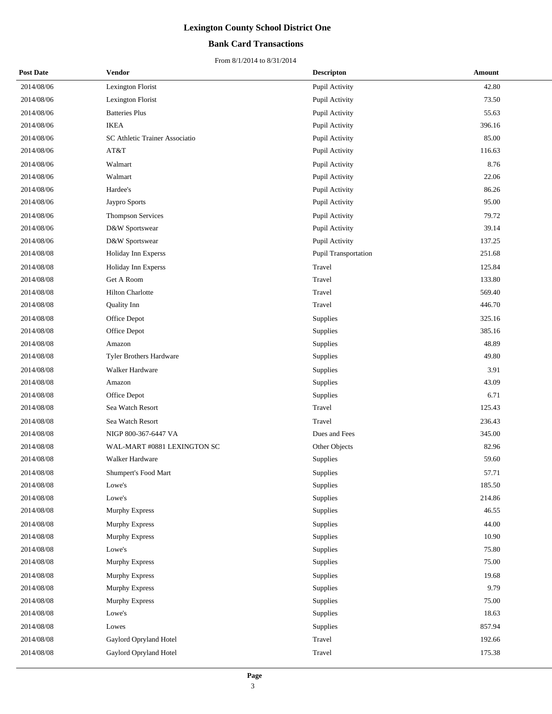## **Bank Card Transactions**

| <b>Post Date</b> | Vendor                         | <b>Descripton</b>    | Amount |
|------------------|--------------------------------|----------------------|--------|
| 2014/08/06       | Lexington Florist              | Pupil Activity       | 42.80  |
| 2014/08/06       | Lexington Florist              | Pupil Activity       | 73.50  |
| 2014/08/06       | <b>Batteries Plus</b>          | Pupil Activity       | 55.63  |
| 2014/08/06       | <b>IKEA</b>                    | Pupil Activity       | 396.16 |
| 2014/08/06       | SC Athletic Trainer Associatio | Pupil Activity       | 85.00  |
| 2014/08/06       | AT&T                           | Pupil Activity       | 116.63 |
| 2014/08/06       | Walmart                        | Pupil Activity       | 8.76   |
| 2014/08/06       | Walmart                        | Pupil Activity       | 22.06  |
| 2014/08/06       | Hardee's                       | Pupil Activity       | 86.26  |
| 2014/08/06       | Jaypro Sports                  | Pupil Activity       | 95.00  |
| 2014/08/06       | <b>Thompson Services</b>       | Pupil Activity       | 79.72  |
| 2014/08/06       | D&W Sportswear                 | Pupil Activity       | 39.14  |
| 2014/08/06       | D&W Sportswear                 | Pupil Activity       | 137.25 |
| 2014/08/08       | Holiday Inn Experss            | Pupil Transportation | 251.68 |
| 2014/08/08       | Holiday Inn Experss            | Travel               | 125.84 |
| 2014/08/08       | Get A Room                     | Travel               | 133.80 |
| 2014/08/08       | <b>Hilton Charlotte</b>        | Travel               | 569.40 |
| 2014/08/08       | Quality Inn                    | Travel               | 446.70 |
| 2014/08/08       | Office Depot                   | Supplies             | 325.16 |
| 2014/08/08       | Office Depot                   | Supplies             | 385.16 |
| 2014/08/08       | Amazon                         | Supplies             | 48.89  |
| 2014/08/08       | Tyler Brothers Hardware        | Supplies             | 49.80  |
| 2014/08/08       | Walker Hardware                | Supplies             | 3.91   |
| 2014/08/08       | Amazon                         | Supplies             | 43.09  |
| 2014/08/08       | Office Depot                   | Supplies             | 6.71   |
| 2014/08/08       | Sea Watch Resort               | Travel               | 125.43 |
| 2014/08/08       | Sea Watch Resort               | Travel               | 236.43 |
| 2014/08/08       | NIGP 800-367-6447 VA           | Dues and Fees        | 345.00 |
| 2014/08/08       | WAL-MART #0881 LEXINGTON SC    | Other Objects        | 82.96  |
| 2014/08/08       | Walker Hardware                | Supplies             | 59.60  |
| 2014/08/08       | Shumpert's Food Mart           | Supplies             | 57.71  |
| 2014/08/08       | Lowe's                         | Supplies             | 185.50 |
| 2014/08/08       | Lowe's                         | Supplies             | 214.86 |
| 2014/08/08       | Murphy Express                 | Supplies             | 46.55  |
| 2014/08/08       | Murphy Express                 | Supplies             | 44.00  |
| 2014/08/08       | Murphy Express                 | Supplies             | 10.90  |
| 2014/08/08       | Lowe's                         | Supplies             | 75.80  |
| 2014/08/08       | Murphy Express                 | Supplies             | 75.00  |
| 2014/08/08       | Murphy Express                 | Supplies             | 19.68  |
| 2014/08/08       | Murphy Express                 | Supplies             | 9.79   |
| 2014/08/08       | Murphy Express                 | Supplies             | 75.00  |
| 2014/08/08       | Lowe's                         | Supplies             | 18.63  |
| 2014/08/08       | Lowes                          | Supplies             | 857.94 |
| 2014/08/08       | Gaylord Opryland Hotel         | Travel               | 192.66 |
| 2014/08/08       | Gaylord Opryland Hotel         | Travel               | 175.38 |
|                  |                                |                      |        |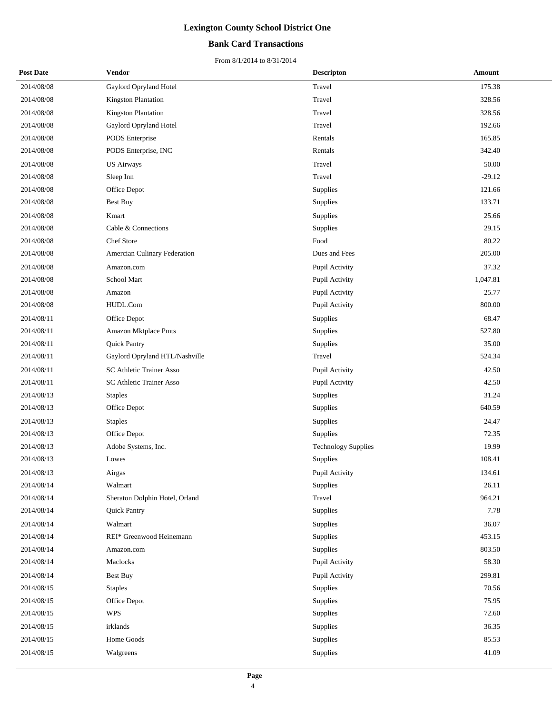## **Bank Card Transactions**

| <b>Post Date</b> | Vendor                         | <b>Descripton</b>          | Amount   |
|------------------|--------------------------------|----------------------------|----------|
| 2014/08/08       | Gaylord Opryland Hotel         | Travel                     | 175.38   |
| 2014/08/08       | Kingston Plantation            | Travel                     | 328.56   |
| 2014/08/08       | <b>Kingston Plantation</b>     | Travel                     | 328.56   |
| 2014/08/08       | Gaylord Opryland Hotel         | Travel                     | 192.66   |
| 2014/08/08       | PODS Enterprise                | Rentals                    | 165.85   |
| 2014/08/08       | PODS Enterprise, INC           | Rentals                    | 342.40   |
| 2014/08/08       | <b>US Airways</b>              | Travel                     | 50.00    |
| 2014/08/08       | Sleep Inn                      | Travel                     | $-29.12$ |
| 2014/08/08       | Office Depot                   | Supplies                   | 121.66   |
| 2014/08/08       | <b>Best Buy</b>                | Supplies                   | 133.71   |
| 2014/08/08       | Kmart                          | Supplies                   | 25.66    |
| 2014/08/08       | Cable & Connections            | Supplies                   | 29.15    |
| 2014/08/08       | Chef Store                     | Food                       | 80.22    |
| 2014/08/08       | Amercian Culinary Federation   | Dues and Fees              | 205.00   |
| 2014/08/08       | Amazon.com                     | Pupil Activity             | 37.32    |
| 2014/08/08       | School Mart                    | Pupil Activity             | 1,047.81 |
| 2014/08/08       | Amazon                         | Pupil Activity             | 25.77    |
| 2014/08/08       | HUDL.Com                       | Pupil Activity             | 800.00   |
| 2014/08/11       | Office Depot                   | <b>Supplies</b>            | 68.47    |
| 2014/08/11       | <b>Amazon Mktplace Pmts</b>    | Supplies                   | 527.80   |
| 2014/08/11       | Quick Pantry                   | Supplies                   | 35.00    |
| 2014/08/11       | Gaylord Opryland HTL/Nashville | Travel                     | 524.34   |
| 2014/08/11       | SC Athletic Trainer Asso       | Pupil Activity             | 42.50    |
| 2014/08/11       | SC Athletic Trainer Asso       | Pupil Activity             | 42.50    |
| 2014/08/13       | <b>Staples</b>                 | Supplies                   | 31.24    |
| 2014/08/13       | Office Depot                   | Supplies                   | 640.59   |
| 2014/08/13       | <b>Staples</b>                 | Supplies                   | 24.47    |
| 2014/08/13       | Office Depot                   | Supplies                   | 72.35    |
| 2014/08/13       | Adobe Systems, Inc.            | <b>Technology Supplies</b> | 19.99    |
| 2014/08/13       | Lowes                          | Supplies                   | 108.41   |
| 2014/08/13       | Airgas                         | Pupil Activity             | 134.61   |
| 2014/08/14       | Walmart                        | Supplies                   | 26.11    |
| 2014/08/14       | Sheraton Dolphin Hotel, Orland | Travel                     | 964.21   |
| 2014/08/14       | <b>Quick Pantry</b>            | Supplies                   | 7.78     |
| 2014/08/14       | Walmart                        | Supplies                   | 36.07    |
| 2014/08/14       | REI* Greenwood Heinemann       | Supplies                   | 453.15   |
| 2014/08/14       | Amazon.com                     | Supplies                   | 803.50   |
| 2014/08/14       | Maclocks                       | Pupil Activity             | 58.30    |
| 2014/08/14       | <b>Best Buy</b>                | Pupil Activity             | 299.81   |
| 2014/08/15       | <b>Staples</b>                 | <b>Supplies</b>            | 70.56    |
| 2014/08/15       | Office Depot                   | Supplies                   | 75.95    |
| 2014/08/15       | <b>WPS</b>                     | Supplies                   | 72.60    |
| 2014/08/15       | irklands                       | Supplies                   | 36.35    |
| 2014/08/15       | Home Goods                     | Supplies                   | 85.53    |
| 2014/08/15       | Walgreens                      | Supplies                   | 41.09    |
|                  |                                |                            |          |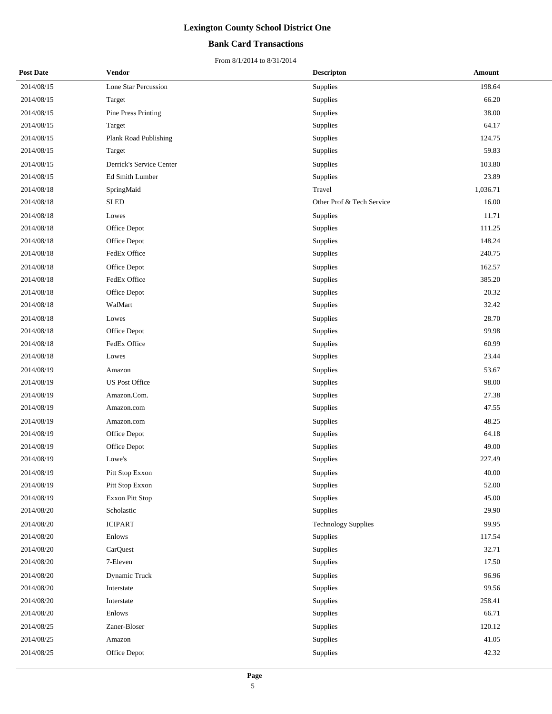## **Bank Card Transactions**

| <b>Post Date</b> | Vendor                   | <b>Descripton</b>          | Amount   |
|------------------|--------------------------|----------------------------|----------|
| 2014/08/15       | Lone Star Percussion     | Supplies                   | 198.64   |
| 2014/08/15       | Target                   | Supplies                   | 66.20    |
| 2014/08/15       | Pine Press Printing      | Supplies                   | 38.00    |
| 2014/08/15       | Target                   | Supplies                   | 64.17    |
| 2014/08/15       | Plank Road Publishing    | Supplies                   | 124.75   |
| 2014/08/15       | Target                   | Supplies                   | 59.83    |
| 2014/08/15       | Derrick's Service Center | Supplies                   | 103.80   |
| 2014/08/15       | Ed Smith Lumber          | Supplies                   | 23.89    |
| 2014/08/18       | SpringMaid               | Travel                     | 1,036.71 |
| 2014/08/18       | <b>SLED</b>              | Other Prof & Tech Service  | 16.00    |
| 2014/08/18       | Lowes                    | Supplies                   | 11.71    |
| 2014/08/18       | Office Depot             | Supplies                   | 111.25   |
| 2014/08/18       | Office Depot             | Supplies                   | 148.24   |
| 2014/08/18       | FedEx Office             | Supplies                   | 240.75   |
| 2014/08/18       | Office Depot             | Supplies                   | 162.57   |
| 2014/08/18       | FedEx Office             | Supplies                   | 385.20   |
| 2014/08/18       | Office Depot             | Supplies                   | 20.32    |
| 2014/08/18       | WalMart                  | Supplies                   | 32.42    |
| 2014/08/18       | Lowes                    | Supplies                   | 28.70    |
| 2014/08/18       | Office Depot             | Supplies                   | 99.98    |
| 2014/08/18       | FedEx Office             | Supplies                   | 60.99    |
| 2014/08/18       | Lowes                    | Supplies                   | 23.44    |
| 2014/08/19       | Amazon                   | Supplies                   | 53.67    |
| 2014/08/19       | <b>US Post Office</b>    | Supplies                   | 98.00    |
| 2014/08/19       | Amazon.Com.              | Supplies                   | 27.38    |
| 2014/08/19       | Amazon.com               | Supplies                   | 47.55    |
| 2014/08/19       | Amazon.com               | Supplies                   | 48.25    |
| 2014/08/19       | Office Depot             | Supplies                   | 64.18    |
| 2014/08/19       | Office Depot             | Supplies                   | 49.00    |
| 2014/08/19       | Lowe's                   | Supplies                   | 227.49   |
| 2014/08/19       | Pitt Stop Exxon          | Supplies                   | 40.00    |
| 2014/08/19       | Pitt Stop Exxon          | Supplies                   | 52.00    |
| 2014/08/19       | <b>Exxon Pitt Stop</b>   | Supplies                   | 45.00    |
| 2014/08/20       | Scholastic               | Supplies                   | 29.90    |
| 2014/08/20       | <b>ICIPART</b>           | <b>Technology Supplies</b> | 99.95    |
| 2014/08/20       | Enlows                   | Supplies                   | 117.54   |
| 2014/08/20       | CarQuest                 | Supplies                   | 32.71    |
| 2014/08/20       | 7-Eleven                 | Supplies                   | 17.50    |
| 2014/08/20       | Dynamic Truck            | Supplies                   | 96.96    |
| 2014/08/20       | Interstate               | Supplies                   | 99.56    |
| 2014/08/20       | Interstate               | Supplies                   | 258.41   |
| 2014/08/20       | Enlows                   | Supplies                   | 66.71    |
| 2014/08/25       | Zaner-Bloser             | Supplies                   | 120.12   |
| 2014/08/25       | Amazon                   | Supplies                   | 41.05    |
| 2014/08/25       | Office Depot             | Supplies                   | 42.32    |
|                  |                          |                            |          |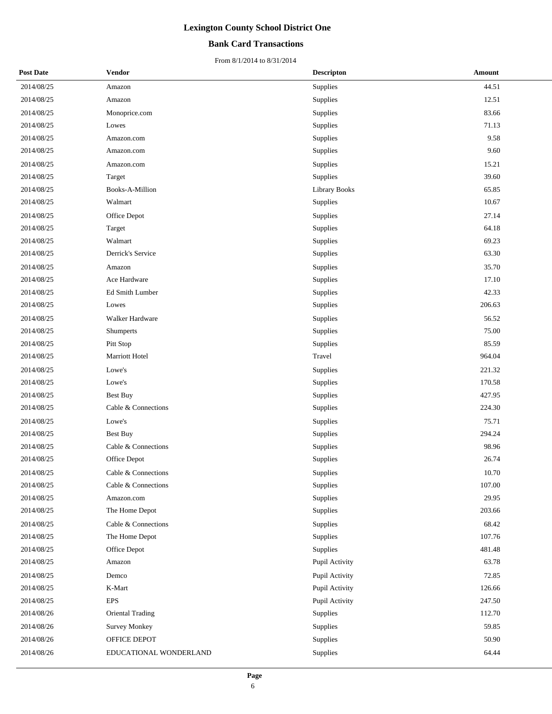## **Bank Card Transactions**

| <b>Post Date</b> | Vendor                 | <b>Descripton</b>    | Amount |
|------------------|------------------------|----------------------|--------|
| 2014/08/25       | Amazon                 | Supplies             | 44.51  |
| 2014/08/25       | Amazon                 | Supplies             | 12.51  |
| 2014/08/25       | Monoprice.com          | Supplies             | 83.66  |
| 2014/08/25       | Lowes                  | Supplies             | 71.13  |
| 2014/08/25       | Amazon.com             | Supplies             | 9.58   |
| 2014/08/25       | Amazon.com             | Supplies             | 9.60   |
| 2014/08/25       | Amazon.com             | Supplies             | 15.21  |
| 2014/08/25       | Target                 | Supplies             | 39.60  |
| 2014/08/25       | Books-A-Million        | <b>Library Books</b> | 65.85  |
| 2014/08/25       | Walmart                | Supplies             | 10.67  |
| 2014/08/25       | Office Depot           | Supplies             | 27.14  |
| 2014/08/25       | Target                 | Supplies             | 64.18  |
| 2014/08/25       | Walmart                | Supplies             | 69.23  |
| 2014/08/25       | Derrick's Service      | Supplies             | 63.30  |
| 2014/08/25       | Amazon                 | Supplies             | 35.70  |
| 2014/08/25       | Ace Hardware           | Supplies             | 17.10  |
| 2014/08/25       | Ed Smith Lumber        | Supplies             | 42.33  |
| 2014/08/25       | Lowes                  | Supplies             | 206.63 |
| 2014/08/25       | Walker Hardware        | Supplies             | 56.52  |
| 2014/08/25       | Shumperts              | Supplies             | 75.00  |
| 2014/08/25       | Pitt Stop              | Supplies             | 85.59  |
| 2014/08/25       | Marriott Hotel         | Travel               | 964.04 |
| 2014/08/25       | Lowe's                 | Supplies             | 221.32 |
| 2014/08/25       | Lowe's                 | Supplies             | 170.58 |
| 2014/08/25       | <b>Best Buy</b>        | Supplies             | 427.95 |
| 2014/08/25       | Cable & Connections    | Supplies             | 224.30 |
| 2014/08/25       | Lowe's                 | Supplies             | 75.71  |
| 2014/08/25       | <b>Best Buy</b>        | Supplies             | 294.24 |
| 2014/08/25       | Cable & Connections    | Supplies             | 98.96  |
| 2014/08/25       | Office Depot           | Supplies             | 26.74  |
| 2014/08/25       | Cable & Connections    | Supplies             | 10.70  |
| 2014/08/25       | Cable & Connections    | Supplies             | 107.00 |
| 2014/08/25       | Amazon.com             | Supplies             | 29.95  |
| 2014/08/25       | The Home Depot         | Supplies             | 203.66 |
| 2014/08/25       | Cable & Connections    | Supplies             | 68.42  |
| 2014/08/25       | The Home Depot         | Supplies             | 107.76 |
| 2014/08/25       | Office Depot           | Supplies             | 481.48 |
| 2014/08/25       | Amazon                 | Pupil Activity       | 63.78  |
| 2014/08/25       | Demco                  | Pupil Activity       | 72.85  |
| 2014/08/25       | K-Mart                 | Pupil Activity       | 126.66 |
| 2014/08/25       | <b>EPS</b>             | Pupil Activity       | 247.50 |
| 2014/08/26       | Oriental Trading       | Supplies             | 112.70 |
| 2014/08/26       | <b>Survey Monkey</b>   | Supplies             | 59.85  |
| 2014/08/26       | OFFICE DEPOT           | Supplies             | 50.90  |
| 2014/08/26       | EDUCATIONAL WONDERLAND | Supplies             | 64.44  |
|                  |                        |                      |        |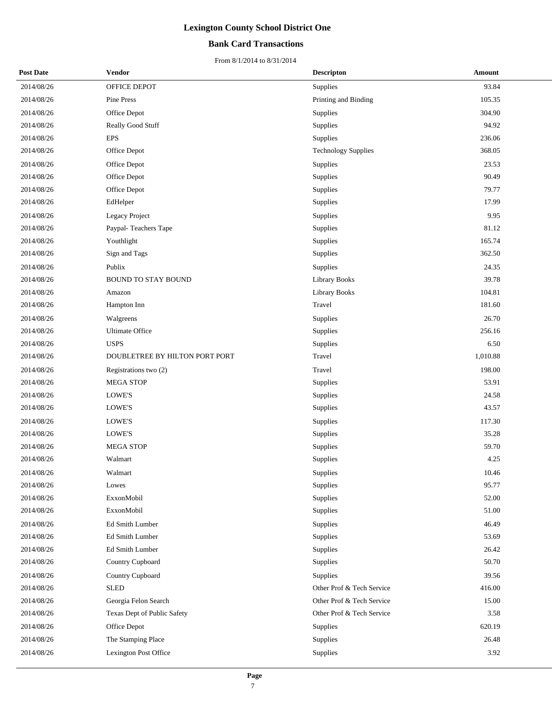## **Bank Card Transactions**

| <b>Post Date</b> | Vendor                         | <b>Descripton</b>          | <b>Amount</b> |
|------------------|--------------------------------|----------------------------|---------------|
| 2014/08/26       | OFFICE DEPOT                   | Supplies                   | 93.84         |
| 2014/08/26       | Pine Press                     | Printing and Binding       | 105.35        |
| 2014/08/26       | Office Depot                   | Supplies                   | 304.90        |
| 2014/08/26       | Really Good Stuff              | Supplies                   | 94.92         |
| 2014/08/26       | EPS                            | Supplies                   | 236.06        |
| 2014/08/26       | Office Depot                   | <b>Technology Supplies</b> | 368.05        |
| 2014/08/26       | Office Depot                   | Supplies                   | 23.53         |
| 2014/08/26       | Office Depot                   | Supplies                   | 90.49         |
| 2014/08/26       | Office Depot                   | Supplies                   | 79.77         |
| 2014/08/26       | EdHelper                       | Supplies                   | 17.99         |
| 2014/08/26       | Legacy Project                 | Supplies                   | 9.95          |
| 2014/08/26       | Paypal-Teachers Tape           | Supplies                   | 81.12         |
| 2014/08/26       | Youthlight                     | Supplies                   | 165.74        |
| 2014/08/26       | Sign and Tags                  | Supplies                   | 362.50        |
| 2014/08/26       | Publix                         | Supplies                   | 24.35         |
| 2014/08/26       | <b>BOUND TO STAY BOUND</b>     | <b>Library Books</b>       | 39.78         |
| 2014/08/26       | Amazon                         | Library Books              | 104.81        |
| 2014/08/26       | Hampton Inn                    | Travel                     | 181.60        |
| 2014/08/26       | Walgreens                      | Supplies                   | 26.70         |
| 2014/08/26       | <b>Ultimate Office</b>         | Supplies                   | 256.16        |
| 2014/08/26       | <b>USPS</b>                    | Supplies                   | 6.50          |
| 2014/08/26       | DOUBLETREE BY HILTON PORT PORT | Travel                     | 1,010.88      |
| 2014/08/26       | Registrations two (2)          | Travel                     | 198.00        |
| 2014/08/26       | <b>MEGA STOP</b>               | Supplies                   | 53.91         |
| 2014/08/26       | LOWE'S                         | Supplies                   | 24.58         |
| 2014/08/26       | LOWE'S                         | Supplies                   | 43.57         |
| 2014/08/26       | LOWE'S                         | Supplies                   | 117.30        |
| 2014/08/26       | LOWE'S                         | Supplies                   | 35.28         |
| 2014/08/26       | <b>MEGA STOP</b>               | Supplies                   | 59.70         |
| 2014/08/26       | Walmart                        | Supplies                   | 4.25          |
| 2014/08/26       | Walmart                        | Supplies                   | 10.46         |
| 2014/08/26       | Lowes                          | Supplies                   | 95.77         |
| 2014/08/26       | ExxonMobil                     | Supplies                   | 52.00         |
| 2014/08/26       | ExxonMobil                     | Supplies                   | 51.00         |
| 2014/08/26       | Ed Smith Lumber                | Supplies                   | 46.49         |
| 2014/08/26       | Ed Smith Lumber                | Supplies                   | 53.69         |
| 2014/08/26       | Ed Smith Lumber                | Supplies                   | 26.42         |
| 2014/08/26       | Country Cupboard               | Supplies                   | 50.70         |
| 2014/08/26       | Country Cupboard               | Supplies                   | 39.56         |
| 2014/08/26       | <b>SLED</b>                    | Other Prof & Tech Service  | 416.00        |
| 2014/08/26       | Georgia Felon Search           | Other Prof & Tech Service  | 15.00         |
| 2014/08/26       | Texas Dept of Public Safety    | Other Prof & Tech Service  | 3.58          |
| 2014/08/26       | Office Depot                   | Supplies                   | 620.19        |
| 2014/08/26       | The Stamping Place             | Supplies                   | 26.48         |
| 2014/08/26       | Lexington Post Office          | Supplies                   | 3.92          |
|                  |                                |                            |               |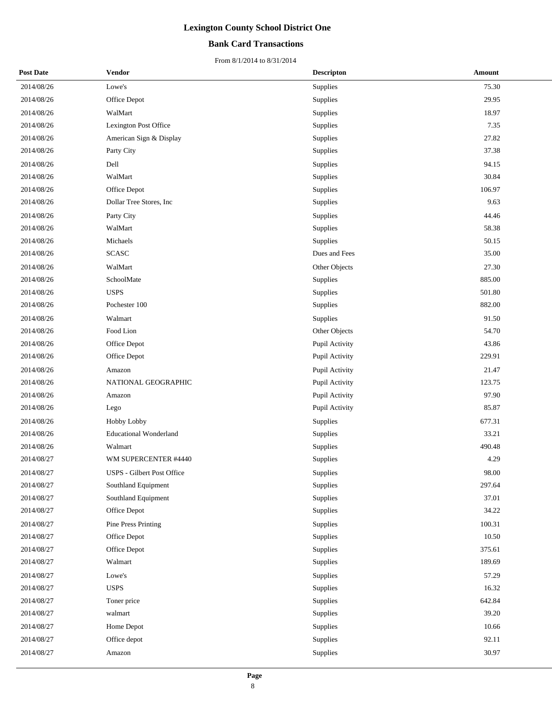## **Bank Card Transactions**

| <b>Post Date</b> | Vendor                            | <b>Descripton</b> | Amount    |
|------------------|-----------------------------------|-------------------|-----------|
| 2014/08/26       | Lowe's                            | Supplies          | 75.30     |
| 2014/08/26       | Office Depot                      | Supplies          | 29.95     |
| 2014/08/26       | WalMart                           | Supplies          | 18.97     |
| 2014/08/26       | Lexington Post Office             | Supplies          | 7.35      |
| 2014/08/26       | American Sign & Display           | Supplies          | 27.82     |
| 2014/08/26       | Party City                        | Supplies          | 37.38     |
| 2014/08/26       | Dell                              | Supplies          | 94.15     |
| 2014/08/26       | WalMart                           | Supplies          | 30.84     |
| 2014/08/26       | Office Depot                      | Supplies          | 106.97    |
| 2014/08/26       | Dollar Tree Stores, Inc           | Supplies          | 9.63      |
| 2014/08/26       | Party City                        | Supplies          | 44.46     |
| 2014/08/26       | WalMart                           | Supplies          | 58.38     |
| 2014/08/26       | Michaels                          | Supplies          | 50.15     |
| 2014/08/26       | <b>SCASC</b>                      | Dues and Fees     | 35.00     |
| 2014/08/26       | WalMart                           | Other Objects     | 27.30     |
| 2014/08/26       | SchoolMate                        | Supplies          | 885.00    |
| 2014/08/26       | <b>USPS</b>                       | Supplies          | 501.80    |
| 2014/08/26       | Pochester 100                     | Supplies          | 882.00    |
| 2014/08/26       | Walmart                           | Supplies          | 91.50     |
| 2014/08/26       | Food Lion                         | Other Objects     | 54.70     |
| 2014/08/26       | Office Depot                      | Pupil Activity    | 43.86     |
| 2014/08/26       | Office Depot                      | Pupil Activity    | 229.91    |
| 2014/08/26       | Amazon                            | Pupil Activity    | 21.47     |
| 2014/08/26       | NATIONAL GEOGRAPHIC               | Pupil Activity    | 123.75    |
| 2014/08/26       | Amazon                            | Pupil Activity    | 97.90     |
| 2014/08/26       | Lego                              | Pupil Activity    | 85.87     |
| 2014/08/26       | Hobby Lobby                       | Supplies          | 677.31    |
| 2014/08/26       | <b>Educational Wonderland</b>     | Supplies          | 33.21     |
| 2014/08/26       | Walmart                           | Supplies          | 490.48    |
| 2014/08/27       | WM SUPERCENTER #4440              | Supplies          | 4.29      |
| 2014/08/27       | <b>USPS</b> - Gilbert Post Office | Supplies          | 98.00     |
| 2014/08/27       | Southland Equipment               | Supplies          | 297.64    |
| 2014/08/27       | Southland Equipment               | Supplies          | 37.01     |
| 2014/08/27       | Office Depot                      | Supplies          | 34.22     |
| 2014/08/27       | Pine Press Printing               | Supplies          | 100.31    |
| 2014/08/27       | Office Depot                      | Supplies          | $10.50\,$ |
| 2014/08/27       | Office Depot                      | Supplies          | 375.61    |
| 2014/08/27       | Walmart                           | Supplies          | 189.69    |
| 2014/08/27       | Lowe's                            | Supplies          | 57.29     |
| 2014/08/27       | <b>USPS</b>                       | Supplies          | 16.32     |
| 2014/08/27       | Toner price                       | Supplies          | 642.84    |
| 2014/08/27       | walmart                           | Supplies          | 39.20     |
| 2014/08/27       | Home Depot                        | Supplies          | 10.66     |
| 2014/08/27       | Office depot                      | Supplies          | 92.11     |
| 2014/08/27       | Amazon                            | Supplies          | 30.97     |
|                  |                                   |                   |           |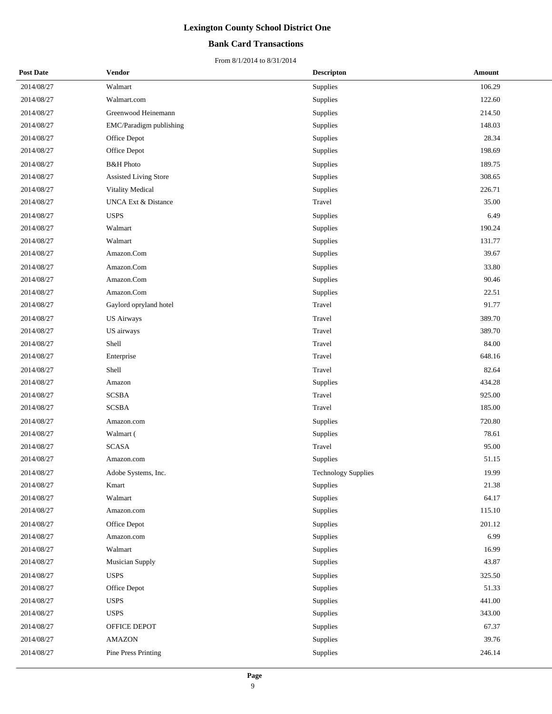## **Bank Card Transactions**

| <b>Post Date</b> | Vendor                         | <b>Descripton</b>   | Amount |
|------------------|--------------------------------|---------------------|--------|
| 2014/08/27       | Walmart                        | Supplies            | 106.29 |
| 2014/08/27       | Walmart.com                    | Supplies            | 122.60 |
| 2014/08/27       | Greenwood Heinemann            | Supplies            | 214.50 |
| 2014/08/27       | EMC/Paradigm publishing        | Supplies            | 148.03 |
| 2014/08/27       | Office Depot                   | Supplies            | 28.34  |
| 2014/08/27       | Office Depot                   | Supplies            | 198.69 |
| 2014/08/27       | <b>B&amp;H</b> Photo           | Supplies            | 189.75 |
| 2014/08/27       | <b>Assisted Living Store</b>   | Supplies            | 308.65 |
| 2014/08/27       | Vitality Medical               | Supplies            | 226.71 |
| 2014/08/27       | <b>UNCA Ext &amp; Distance</b> | Travel              | 35.00  |
| 2014/08/27       | <b>USPS</b>                    | Supplies            | 6.49   |
| 2014/08/27       | Walmart                        | Supplies            | 190.24 |
| 2014/08/27       | Walmart                        | Supplies            | 131.77 |
| 2014/08/27       | Amazon.Com                     | Supplies            | 39.67  |
| 2014/08/27       | Amazon.Com                     | Supplies            | 33.80  |
| 2014/08/27       | Amazon.Com                     | Supplies            | 90.46  |
| 2014/08/27       | Amazon.Com                     | Supplies            | 22.51  |
| 2014/08/27       | Gaylord opryland hotel         | Travel              | 91.77  |
| 2014/08/27       | <b>US Airways</b>              | Travel              | 389.70 |
| 2014/08/27       | US airways                     | Travel              | 389.70 |
| 2014/08/27       | Shell                          | Travel              | 84.00  |
| 2014/08/27       | Enterprise                     | Travel              | 648.16 |
| 2014/08/27       | Shell                          | Travel              | 82.64  |
| 2014/08/27       | Amazon                         | Supplies            | 434.28 |
| 2014/08/27       | <b>SCSBA</b>                   | Travel              | 925.00 |
| 2014/08/27       | <b>SCSBA</b>                   | Travel              | 185.00 |
| 2014/08/27       | Amazon.com                     | Supplies            | 720.80 |
| 2014/08/27       | Walmart (                      | Supplies            | 78.61  |
| 2014/08/27       | <b>SCASA</b>                   | Travel              | 95.00  |
| 2014/08/27       | Amazon.com                     | Supplies            | 51.15  |
| 2014/08/27       | Adobe Systems, Inc.            | Technology Supplies | 19.99  |
| 2014/08/27       | Kmart                          | Supplies            | 21.38  |
| 2014/08/27       | Walmart                        | Supplies            | 64.17  |
| 2014/08/27       | Amazon.com                     | Supplies            | 115.10 |
| 2014/08/27       | Office Depot                   | Supplies            | 201.12 |
| 2014/08/27       | Amazon.com                     | Supplies            | 6.99   |
| 2014/08/27       | Walmart                        | Supplies            | 16.99  |
| 2014/08/27       | Musician Supply                | Supplies            | 43.87  |
| 2014/08/27       | <b>USPS</b>                    | Supplies            | 325.50 |
| 2014/08/27       | Office Depot                   | Supplies            | 51.33  |
| 2014/08/27       | <b>USPS</b>                    | Supplies            | 441.00 |
| 2014/08/27       | $_{\rm USPS}$                  | Supplies            | 343.00 |
| 2014/08/27       | OFFICE DEPOT                   | Supplies            | 67.37  |
| 2014/08/27       | <b>AMAZON</b>                  | Supplies            | 39.76  |
| 2014/08/27       | Pine Press Printing            | Supplies            | 246.14 |
|                  |                                |                     |        |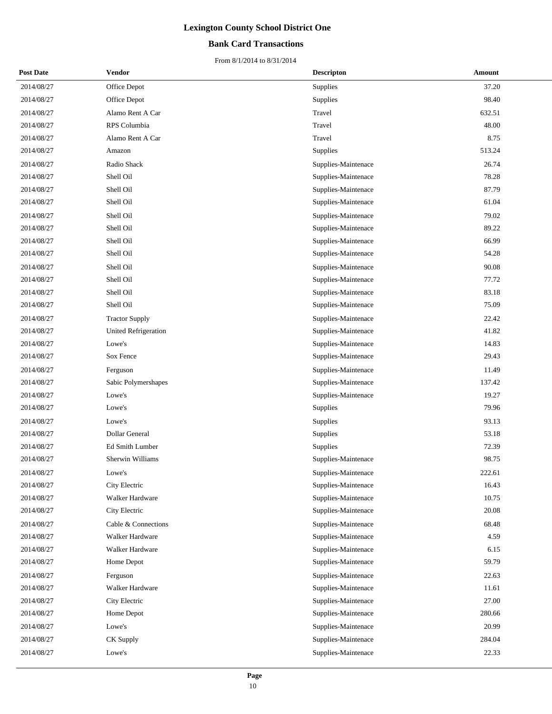## **Bank Card Transactions**

| <b>Post Date</b> | Vendor                      | <b>Descripton</b>   | Amount |
|------------------|-----------------------------|---------------------|--------|
| 2014/08/27       | Office Depot                | Supplies            | 37.20  |
| 2014/08/27       | Office Depot                | Supplies            | 98.40  |
| 2014/08/27       | Alamo Rent A Car            | Travel              | 632.51 |
| 2014/08/27       | RPS Columbia                | Travel              | 48.00  |
| 2014/08/27       | Alamo Rent A Car            | Travel              | 8.75   |
| 2014/08/27       | Amazon                      | Supplies            | 513.24 |
| 2014/08/27       | Radio Shack                 | Supplies-Maintenace | 26.74  |
| 2014/08/27       | Shell Oil                   | Supplies-Maintenace | 78.28  |
| 2014/08/27       | Shell Oil                   | Supplies-Maintenace | 87.79  |
| 2014/08/27       | Shell Oil                   | Supplies-Maintenace | 61.04  |
| 2014/08/27       | Shell Oil                   | Supplies-Maintenace | 79.02  |
| 2014/08/27       | Shell Oil                   | Supplies-Maintenace | 89.22  |
| 2014/08/27       | Shell Oil                   | Supplies-Maintenace | 66.99  |
| 2014/08/27       | Shell Oil                   | Supplies-Maintenace | 54.28  |
| 2014/08/27       | Shell Oil                   | Supplies-Maintenace | 90.08  |
| 2014/08/27       | Shell Oil                   | Supplies-Maintenace | 77.72  |
| 2014/08/27       | Shell Oil                   | Supplies-Maintenace | 83.18  |
| 2014/08/27       | Shell Oil                   | Supplies-Maintenace | 75.09  |
| 2014/08/27       | <b>Tractor Supply</b>       | Supplies-Maintenace | 22.42  |
| 2014/08/27       | <b>United Refrigeration</b> | Supplies-Maintenace | 41.82  |
| 2014/08/27       | Lowe's                      | Supplies-Maintenace | 14.83  |
| 2014/08/27       | Sox Fence                   | Supplies-Maintenace | 29.43  |
| 2014/08/27       | Ferguson                    | Supplies-Maintenace | 11.49  |
| 2014/08/27       | Sabic Polymershapes         | Supplies-Maintenace | 137.42 |
| 2014/08/27       | Lowe's                      | Supplies-Maintenace | 19.27  |
| 2014/08/27       | Lowe's                      | Supplies            | 79.96  |
| 2014/08/27       | Lowe's                      | Supplies            | 93.13  |
| 2014/08/27       | Dollar General              | Supplies            | 53.18  |
| 2014/08/27       | Ed Smith Lumber             | Supplies            | 72.39  |
| 2014/08/27       | Sherwin Williams            | Supplies-Maintenace | 98.75  |
| 2014/08/27       | Lowe's                      | Supplies-Maintenace | 222.61 |
| 2014/08/27       | City Electric               | Supplies-Maintenace | 16.43  |
| 2014/08/27       | Walker Hardware             | Supplies-Maintenace | 10.75  |
| 2014/08/27       | City Electric               | Supplies-Maintenace | 20.08  |
| 2014/08/27       | Cable & Connections         | Supplies-Maintenace | 68.48  |
| 2014/08/27       | Walker Hardware             | Supplies-Maintenace | 4.59   |
| 2014/08/27       | Walker Hardware             | Supplies-Maintenace | 6.15   |
| 2014/08/27       | Home Depot                  | Supplies-Maintenace | 59.79  |
| 2014/08/27       | Ferguson                    | Supplies-Maintenace | 22.63  |
| 2014/08/27       | Walker Hardware             | Supplies-Maintenace | 11.61  |
| 2014/08/27       | City Electric               | Supplies-Maintenace | 27.00  |
| 2014/08/27       | Home Depot                  | Supplies-Maintenace | 280.66 |
| 2014/08/27       | Lowe's                      | Supplies-Maintenace | 20.99  |
| 2014/08/27       | CK Supply                   | Supplies-Maintenace | 284.04 |
| 2014/08/27       | Lowe's                      | Supplies-Maintenace | 22.33  |
|                  |                             |                     |        |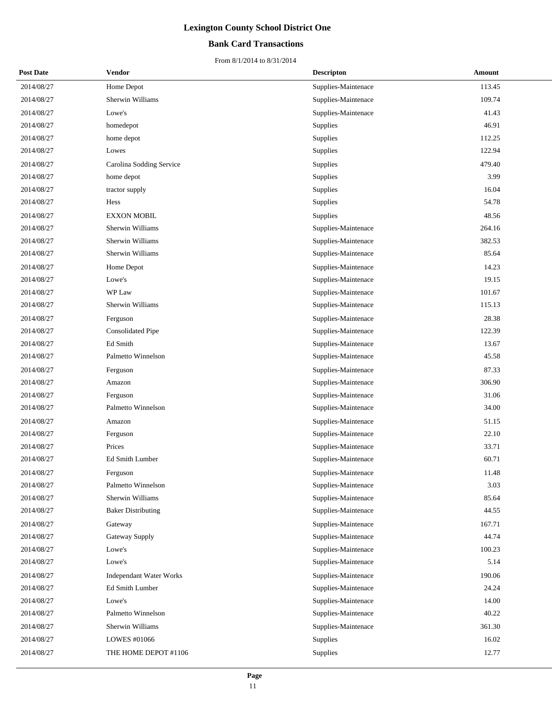## **Bank Card Transactions**

| <b>Post Date</b> | Vendor                    | <b>Descripton</b>   | Amount |
|------------------|---------------------------|---------------------|--------|
| 2014/08/27       | Home Depot                | Supplies-Maintenace | 113.45 |
| 2014/08/27       | Sherwin Williams          | Supplies-Maintenace | 109.74 |
| 2014/08/27       | Lowe's                    | Supplies-Maintenace | 41.43  |
| 2014/08/27       | homedepot                 | Supplies            | 46.91  |
| 2014/08/27       | home depot                | Supplies            | 112.25 |
| 2014/08/27       | Lowes                     | Supplies            | 122.94 |
| 2014/08/27       | Carolina Sodding Service  | Supplies            | 479.40 |
| 2014/08/27       | home depot                | Supplies            | 3.99   |
| 2014/08/27       | tractor supply            | Supplies            | 16.04  |
| 2014/08/27       | Hess                      | Supplies            | 54.78  |
| 2014/08/27       | <b>EXXON MOBIL</b>        | Supplies            | 48.56  |
| 2014/08/27       | Sherwin Williams          | Supplies-Maintenace | 264.16 |
| 2014/08/27       | Sherwin Williams          | Supplies-Maintenace | 382.53 |
| 2014/08/27       | Sherwin Williams          | Supplies-Maintenace | 85.64  |
| 2014/08/27       | Home Depot                | Supplies-Maintenace | 14.23  |
| 2014/08/27       | Lowe's                    | Supplies-Maintenace | 19.15  |
| 2014/08/27       | WP Law                    | Supplies-Maintenace | 101.67 |
| 2014/08/27       | Sherwin Williams          | Supplies-Maintenace | 115.13 |
| 2014/08/27       | Ferguson                  | Supplies-Maintenace | 28.38  |
| 2014/08/27       | <b>Consolidated Pipe</b>  | Supplies-Maintenace | 122.39 |
| 2014/08/27       | Ed Smith                  | Supplies-Maintenace | 13.67  |
| 2014/08/27       | Palmetto Winnelson        | Supplies-Maintenace | 45.58  |
| 2014/08/27       | Ferguson                  | Supplies-Maintenace | 87.33  |
| 2014/08/27       | Amazon                    | Supplies-Maintenace | 306.90 |
| 2014/08/27       | Ferguson                  | Supplies-Maintenace | 31.06  |
| 2014/08/27       | Palmetto Winnelson        | Supplies-Maintenace | 34.00  |
| 2014/08/27       | Amazon                    | Supplies-Maintenace | 51.15  |
| 2014/08/27       | Ferguson                  | Supplies-Maintenace | 22.10  |
| 2014/08/27       | Prices                    | Supplies-Maintenace | 33.71  |
| 2014/08/27       | Ed Smith Lumber           | Supplies-Maintenace | 60.71  |
| 2014/08/27       | Ferguson                  | Supplies-Maintenace | 11.48  |
| 2014/08/27       | Palmetto Winnelson        | Supplies-Maintenace | 3.03   |
| 2014/08/27       | Sherwin Williams          | Supplies-Maintenace | 85.64  |
| 2014/08/27       | <b>Baker Distributing</b> | Supplies-Maintenace | 44.55  |
| 2014/08/27       | Gateway                   | Supplies-Maintenace | 167.71 |
| 2014/08/27       | Gateway Supply            | Supplies-Maintenace | 44.74  |
| 2014/08/27       | Lowe's                    | Supplies-Maintenace | 100.23 |
| 2014/08/27       | Lowe's                    | Supplies-Maintenace | 5.14   |
| 2014/08/27       | Independant Water Works   | Supplies-Maintenace | 190.06 |
| 2014/08/27       | Ed Smith Lumber           | Supplies-Maintenace | 24.24  |
| 2014/08/27       | Lowe's                    | Supplies-Maintenace | 14.00  |
| 2014/08/27       | Palmetto Winnelson        | Supplies-Maintenace | 40.22  |
| 2014/08/27       | Sherwin Williams          | Supplies-Maintenace | 361.30 |
| 2014/08/27       | LOWES #01066              | Supplies            | 16.02  |
| 2014/08/27       | THE HOME DEPOT #1106      | Supplies            | 12.77  |
|                  |                           |                     |        |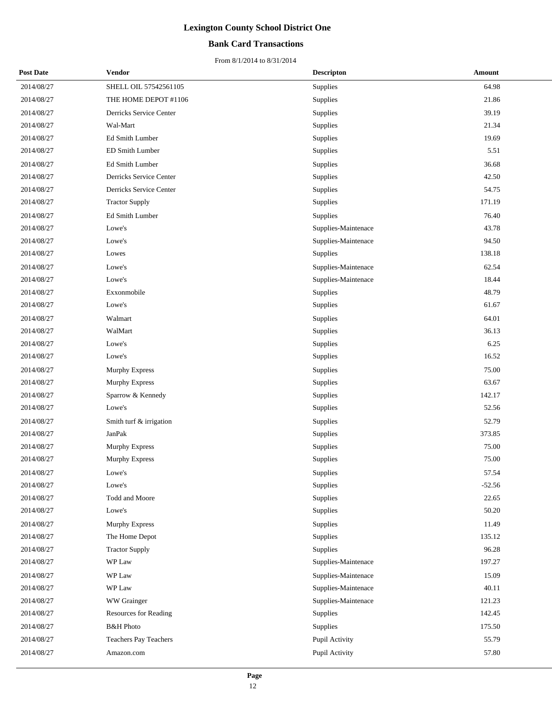## **Bank Card Transactions**

| <b>Post Date</b> | <b>Vendor</b>           | <b>Descripton</b>   | Amount   |
|------------------|-------------------------|---------------------|----------|
| 2014/08/27       | SHELL OIL 57542561105   | Supplies            | 64.98    |
| 2014/08/27       | THE HOME DEPOT #1106    | Supplies            | 21.86    |
| 2014/08/27       | Derricks Service Center | Supplies            | 39.19    |
| 2014/08/27       | Wal-Mart                | Supplies            | 21.34    |
| 2014/08/27       | Ed Smith Lumber         | Supplies            | 19.69    |
| 2014/08/27       | ED Smith Lumber         | Supplies            | 5.51     |
| 2014/08/27       | Ed Smith Lumber         | Supplies            | 36.68    |
| 2014/08/27       | Derricks Service Center | Supplies            | 42.50    |
| 2014/08/27       | Derricks Service Center | Supplies            | 54.75    |
| 2014/08/27       | <b>Tractor Supply</b>   | Supplies            | 171.19   |
| 2014/08/27       | Ed Smith Lumber         | Supplies            | 76.40    |
| 2014/08/27       | Lowe's                  | Supplies-Maintenace | 43.78    |
| 2014/08/27       | Lowe's                  | Supplies-Maintenace | 94.50    |
| 2014/08/27       | Lowes                   | <b>Supplies</b>     | 138.18   |
| 2014/08/27       | Lowe's                  | Supplies-Maintenace | 62.54    |
| 2014/08/27       | Lowe's                  | Supplies-Maintenace | 18.44    |
| 2014/08/27       | Exxonmobile             | Supplies            | 48.79    |
| 2014/08/27       | Lowe's                  | Supplies            | 61.67    |
| 2014/08/27       | Walmart                 | Supplies            | 64.01    |
| 2014/08/27       | WalMart                 | Supplies            | 36.13    |
| 2014/08/27       | Lowe's                  | Supplies            | 6.25     |
| 2014/08/27       | Lowe's                  | Supplies            | 16.52    |
| 2014/08/27       | Murphy Express          | Supplies            | 75.00    |
| 2014/08/27       | Murphy Express          | Supplies            | 63.67    |
| 2014/08/27       | Sparrow & Kennedy       | Supplies            | 142.17   |
| 2014/08/27       | Lowe's                  | Supplies            | 52.56    |
| 2014/08/27       | Smith turf & irrigation | Supplies            | 52.79    |
| 2014/08/27       | <b>JanPak</b>           | Supplies            | 373.85   |
| 2014/08/27       | Murphy Express          | Supplies            | 75.00    |
| 2014/08/27       | <b>Murphy Express</b>   | Supplies            | 75.00    |
| 2014/08/27       | Lowe's                  | Supplies            | 57.54    |
| 2014/08/27       | Lowe's                  | Supplies            | $-52.56$ |
| 2014/08/27       | Todd and Moore          | Supplies            | 22.65    |
| 2014/08/27       | Lowe's                  | Supplies            | 50.20    |
| 2014/08/27       | Murphy Express          | Supplies            | 11.49    |
| 2014/08/27       | The Home Depot          | Supplies            | 135.12   |
| 2014/08/27       | <b>Tractor Supply</b>   | Supplies            | 96.28    |
| 2014/08/27       | WP Law                  | Supplies-Maintenace | 197.27   |
| 2014/08/27       | WP Law                  | Supplies-Maintenace | 15.09    |
| 2014/08/27       | WP Law                  | Supplies-Maintenace | 40.11    |
| 2014/08/27       | WW Grainger             | Supplies-Maintenace | 121.23   |
| 2014/08/27       | Resources for Reading   | Supplies            | 142.45   |
| 2014/08/27       | <b>B&amp;H</b> Photo    | Supplies            | 175.50   |
| 2014/08/27       | Teachers Pay Teachers   | Pupil Activity      | 55.79    |
| 2014/08/27       | Amazon.com              | Pupil Activity      | 57.80    |
|                  |                         |                     |          |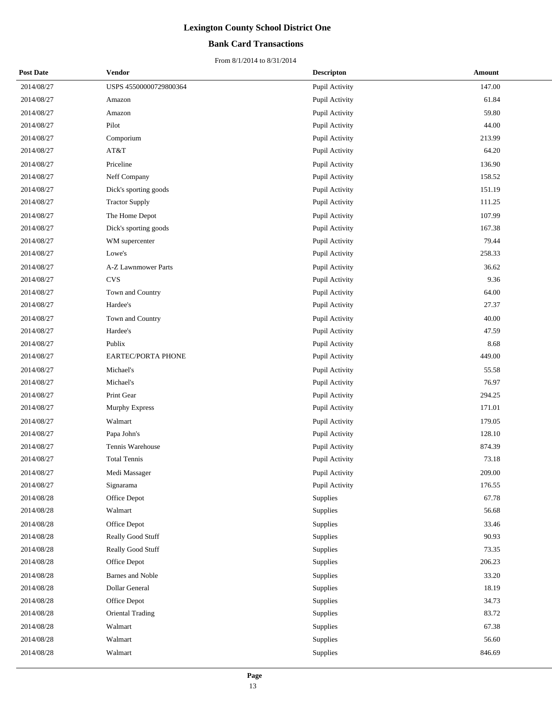## **Bank Card Transactions**

| <b>Post Date</b> | Vendor                    | <b>Descripton</b> | Amount |
|------------------|---------------------------|-------------------|--------|
| 2014/08/27       | USPS 45500000729800364    | Pupil Activity    | 147.00 |
| 2014/08/27       | Amazon                    | Pupil Activity    | 61.84  |
| 2014/08/27       | Amazon                    | Pupil Activity    | 59.80  |
| 2014/08/27       | Pilot                     | Pupil Activity    | 44.00  |
| 2014/08/27       | Comporium                 | Pupil Activity    | 213.99 |
| 2014/08/27       | AT&T                      | Pupil Activity    | 64.20  |
| 2014/08/27       | Priceline                 | Pupil Activity    | 136.90 |
| 2014/08/27       | Neff Company              | Pupil Activity    | 158.52 |
| 2014/08/27       | Dick's sporting goods     | Pupil Activity    | 151.19 |
| 2014/08/27       | <b>Tractor Supply</b>     | Pupil Activity    | 111.25 |
| 2014/08/27       | The Home Depot            | Pupil Activity    | 107.99 |
| 2014/08/27       | Dick's sporting goods     | Pupil Activity    | 167.38 |
| 2014/08/27       | WM supercenter            | Pupil Activity    | 79.44  |
| 2014/08/27       | Lowe's                    | Pupil Activity    | 258.33 |
| 2014/08/27       | A-Z Lawnmower Parts       | Pupil Activity    | 36.62  |
| 2014/08/27       | <b>CVS</b>                | Pupil Activity    | 9.36   |
| 2014/08/27       | Town and Country          | Pupil Activity    | 64.00  |
| 2014/08/27       | Hardee's                  | Pupil Activity    | 27.37  |
| 2014/08/27       | Town and Country          | Pupil Activity    | 40.00  |
| 2014/08/27       | Hardee's                  | Pupil Activity    | 47.59  |
| 2014/08/27       | Publix                    | Pupil Activity    | 8.68   |
| 2014/08/27       | <b>EARTEC/PORTA PHONE</b> | Pupil Activity    | 449.00 |
| 2014/08/27       | Michael's                 | Pupil Activity    | 55.58  |
| 2014/08/27       | Michael's                 | Pupil Activity    | 76.97  |
| 2014/08/27       | Print Gear                | Pupil Activity    | 294.25 |
| 2014/08/27       | <b>Murphy Express</b>     | Pupil Activity    | 171.01 |
| 2014/08/27       | Walmart                   | Pupil Activity    | 179.05 |
| 2014/08/27       | Papa John's               | Pupil Activity    | 128.10 |
| 2014/08/27       | Tennis Warehouse          | Pupil Activity    | 874.39 |
| 2014/08/27       | <b>Total Tennis</b>       | Pupil Activity    | 73.18  |
| 2014/08/27       | Medi Massager             | Pupil Activity    | 209.00 |
| 2014/08/27       | Signarama                 | Pupil Activity    | 176.55 |
| 2014/08/28       | Office Depot              | Supplies          | 67.78  |
| 2014/08/28       | Walmart                   | Supplies          | 56.68  |
| 2014/08/28       | Office Depot              | Supplies          | 33.46  |
| 2014/08/28       | Really Good Stuff         | Supplies          | 90.93  |
| 2014/08/28       | Really Good Stuff         | Supplies          | 73.35  |
| 2014/08/28       | Office Depot              | Supplies          | 206.23 |
| 2014/08/28       | <b>Barnes and Noble</b>   | Supplies          | 33.20  |
| 2014/08/28       | Dollar General            | Supplies          | 18.19  |
| 2014/08/28       | Office Depot              | Supplies          | 34.73  |
| 2014/08/28       | Oriental Trading          | Supplies          | 83.72  |
| 2014/08/28       | Walmart                   | Supplies          | 67.38  |
| 2014/08/28       | Walmart                   | Supplies          | 56.60  |
| 2014/08/28       | Walmart                   | Supplies          | 846.69 |
|                  |                           |                   |        |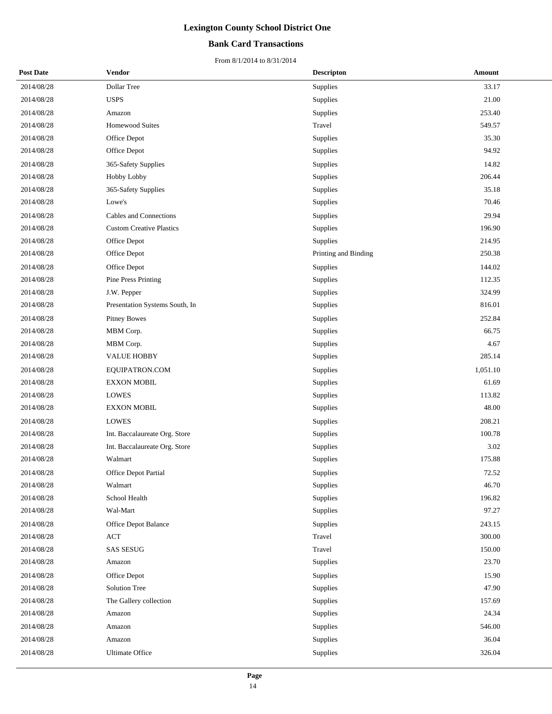## **Bank Card Transactions**

| <b>Post Date</b> | Vendor                          | <b>Descripton</b>    | Amount   |
|------------------|---------------------------------|----------------------|----------|
| 2014/08/28       | Dollar Tree                     | Supplies             | 33.17    |
| 2014/08/28       | <b>USPS</b>                     | Supplies             | 21.00    |
| 2014/08/28       | Amazon                          | Supplies             | 253.40   |
| 2014/08/28       | <b>Homewood Suites</b>          | Travel               | 549.57   |
| 2014/08/28       | Office Depot                    | Supplies             | 35.30    |
| 2014/08/28       | Office Depot                    | Supplies             | 94.92    |
| 2014/08/28       | 365-Safety Supplies             | Supplies             | 14.82    |
| 2014/08/28       | Hobby Lobby                     | Supplies             | 206.44   |
| 2014/08/28       | 365-Safety Supplies             | Supplies             | 35.18    |
| 2014/08/28       | Lowe's                          | Supplies             | 70.46    |
| 2014/08/28       | Cables and Connections          | Supplies             | 29.94    |
| 2014/08/28       | <b>Custom Creative Plastics</b> | Supplies             | 196.90   |
| 2014/08/28       | Office Depot                    | Supplies             | 214.95   |
| 2014/08/28       | Office Depot                    | Printing and Binding | 250.38   |
| 2014/08/28       | Office Depot                    | Supplies             | 144.02   |
| 2014/08/28       | Pine Press Printing             | Supplies             | 112.35   |
| 2014/08/28       | J.W. Pepper                     | Supplies             | 324.99   |
| 2014/08/28       | Presentation Systems South, In  | Supplies             | 816.01   |
| 2014/08/28       | <b>Pitney Bowes</b>             | Supplies             | 252.84   |
| 2014/08/28       | MBM Corp.                       | Supplies             | 66.75    |
| 2014/08/28       | MBM Corp.                       | Supplies             | 4.67     |
| 2014/08/28       | <b>VALUE HOBBY</b>              | Supplies             | 285.14   |
| 2014/08/28       | EQUIPATRON.COM                  | Supplies             | 1,051.10 |
| 2014/08/28       | <b>EXXON MOBIL</b>              | Supplies             | 61.69    |
| 2014/08/28       | <b>LOWES</b>                    | Supplies             | 113.82   |
| 2014/08/28       | <b>EXXON MOBIL</b>              | Supplies             | 48.00    |
| 2014/08/28       | <b>LOWES</b>                    | Supplies             | 208.21   |
| 2014/08/28       | Int. Baccalaureate Org. Store   | Supplies             | 100.78   |
| 2014/08/28       | Int. Baccalaureate Org. Store   | Supplies             | 3.02     |
| 2014/08/28       | Walmart                         | Supplies             | 175.88   |
| 2014/08/28       | Office Depot Partial            | Supplies             | 72.52    |
| 2014/08/28       | Walmart                         | Supplies             | 46.70    |
| 2014/08/28       | School Health                   | Supplies             | 196.82   |
| 2014/08/28       | Wal-Mart                        | Supplies             | 97.27    |
| 2014/08/28       | Office Depot Balance            | Supplies             | 243.15   |
| 2014/08/28       | ACT                             | Travel               | 300.00   |
| 2014/08/28       | <b>SAS SESUG</b>                | Travel               | 150.00   |
| 2014/08/28       | Amazon                          | Supplies             | 23.70    |
| 2014/08/28       | Office Depot                    | Supplies             | 15.90    |
| 2014/08/28       | <b>Solution Tree</b>            | Supplies             | 47.90    |
| 2014/08/28       | The Gallery collection          | Supplies             | 157.69   |
| 2014/08/28       | Amazon                          | Supplies             | 24.34    |
| 2014/08/28       | Amazon                          | Supplies             | 546.00   |
| 2014/08/28       | Amazon                          | Supplies             | 36.04    |
| 2014/08/28       | <b>Ultimate Office</b>          | Supplies             | 326.04   |
|                  |                                 |                      |          |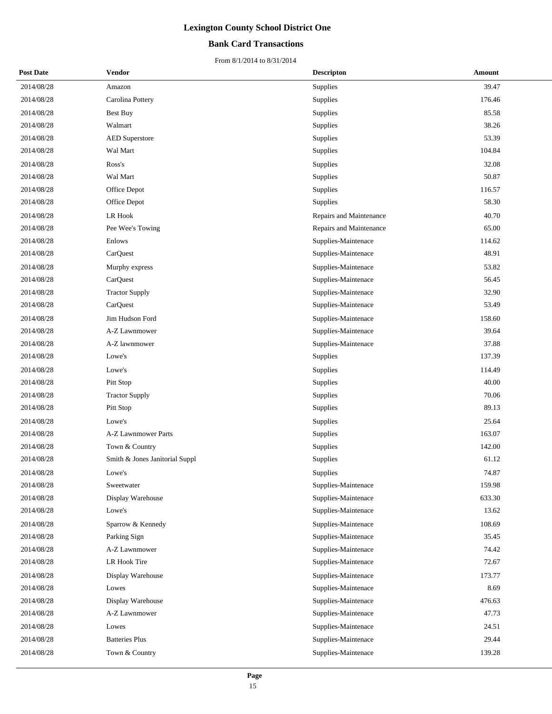## **Bank Card Transactions**

| <b>Post Date</b> | <b>Vendor</b>                  | <b>Descripton</b>       | Amount |
|------------------|--------------------------------|-------------------------|--------|
| 2014/08/28       | Amazon                         | Supplies                | 39.47  |
| 2014/08/28       | Carolina Pottery               | Supplies                | 176.46 |
| 2014/08/28       | Best Buy                       | Supplies                | 85.58  |
| 2014/08/28       | Walmart                        | Supplies                | 38.26  |
| 2014/08/28       | <b>AED Superstore</b>          | Supplies                | 53.39  |
| 2014/08/28       | Wal Mart                       | Supplies                | 104.84 |
| 2014/08/28       | Ross's                         | Supplies                | 32.08  |
| 2014/08/28       | Wal Mart                       | Supplies                | 50.87  |
| 2014/08/28       | Office Depot                   | Supplies                | 116.57 |
| 2014/08/28       | Office Depot                   | Supplies                | 58.30  |
| 2014/08/28       | LR Hook                        | Repairs and Maintenance | 40.70  |
| 2014/08/28       | Pee Wee's Towing               | Repairs and Maintenance | 65.00  |
| 2014/08/28       | Enlows                         | Supplies-Maintenace     | 114.62 |
| 2014/08/28       | CarQuest                       | Supplies-Maintenace     | 48.91  |
| 2014/08/28       | Murphy express                 | Supplies-Maintenace     | 53.82  |
| 2014/08/28       | CarQuest                       | Supplies-Maintenace     | 56.45  |
| 2014/08/28       | <b>Tractor Supply</b>          | Supplies-Maintenace     | 32.90  |
| 2014/08/28       | CarQuest                       | Supplies-Maintenace     | 53.49  |
| 2014/08/28       | Jim Hudson Ford                | Supplies-Maintenace     | 158.60 |
| 2014/08/28       | A-Z Lawnmower                  | Supplies-Maintenace     | 39.64  |
| 2014/08/28       | A-Z lawnmower                  | Supplies-Maintenace     | 37.88  |
| 2014/08/28       | Lowe's                         | Supplies                | 137.39 |
| 2014/08/28       | Lowe's                         | Supplies                | 114.49 |
| 2014/08/28       | Pitt Stop                      | Supplies                | 40.00  |
| 2014/08/28       | <b>Tractor Supply</b>          | Supplies                | 70.06  |
| 2014/08/28       | Pitt Stop                      | Supplies                | 89.13  |
| 2014/08/28       | Lowe's                         | Supplies                | 25.64  |
| 2014/08/28       | A-Z Lawnmower Parts            | Supplies                | 163.07 |
| 2014/08/28       | Town & Country                 | Supplies                | 142.00 |
| 2014/08/28       | Smith & Jones Janitorial Suppl | Supplies                | 61.12  |
| 2014/08/28       | Lowe's                         | Supplies                | 74.87  |
| 2014/08/28       | Sweetwater                     | Supplies-Maintenace     | 159.98 |
| 2014/08/28       | Display Warehouse              | Supplies-Maintenace     | 633.30 |
| 2014/08/28       | Lowe's                         | Supplies-Maintenace     | 13.62  |
| 2014/08/28       | Sparrow & Kennedy              | Supplies-Maintenace     | 108.69 |
| 2014/08/28       | Parking Sign                   | Supplies-Maintenace     | 35.45  |
| 2014/08/28       | A-Z Lawnmower                  | Supplies-Maintenace     | 74.42  |
| 2014/08/28       | LR Hook Tire                   | Supplies-Maintenace     | 72.67  |
| 2014/08/28       | Display Warehouse              | Supplies-Maintenace     | 173.77 |
| 2014/08/28       | Lowes                          | Supplies-Maintenace     | 8.69   |
| 2014/08/28       | Display Warehouse              | Supplies-Maintenace     | 476.63 |
| 2014/08/28       | A-Z Lawnmower                  | Supplies-Maintenace     | 47.73  |
| 2014/08/28       | Lowes                          | Supplies-Maintenace     | 24.51  |
| 2014/08/28       | <b>Batteries Plus</b>          | Supplies-Maintenace     | 29.44  |
| 2014/08/28       | Town & Country                 | Supplies-Maintenace     | 139.28 |
|                  |                                |                         |        |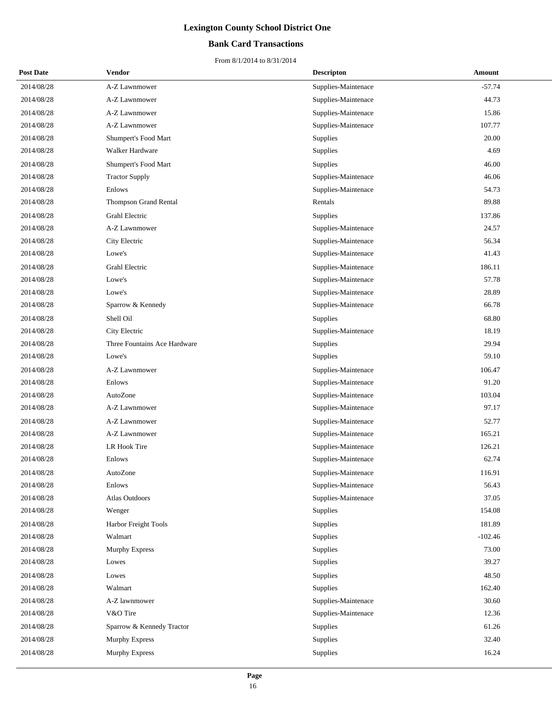## **Bank Card Transactions**

| <b>Post Date</b> | Vendor                       | <b>Descripton</b>   | Amount    |
|------------------|------------------------------|---------------------|-----------|
| 2014/08/28       | A-Z Lawnmower                | Supplies-Maintenace | $-57.74$  |
| 2014/08/28       | A-Z Lawnmower                | Supplies-Maintenace | 44.73     |
| 2014/08/28       | A-Z Lawnmower                | Supplies-Maintenace | 15.86     |
| 2014/08/28       | A-Z Lawnmower                | Supplies-Maintenace | 107.77    |
| 2014/08/28       | Shumpert's Food Mart         | Supplies            | 20.00     |
| 2014/08/28       | Walker Hardware              | Supplies            | 4.69      |
| 2014/08/28       | Shumpert's Food Mart         | Supplies            | 46.00     |
| 2014/08/28       | <b>Tractor Supply</b>        | Supplies-Maintenace | 46.06     |
| 2014/08/28       | Enlows                       | Supplies-Maintenace | 54.73     |
| 2014/08/28       | Thompson Grand Rental        | Rentals             | 89.88     |
| 2014/08/28       | Grahl Electric               | Supplies            | 137.86    |
| 2014/08/28       | A-Z Lawnmower                | Supplies-Maintenace | 24.57     |
| 2014/08/28       | City Electric                | Supplies-Maintenace | 56.34     |
| 2014/08/28       | Lowe's                       | Supplies-Maintenace | 41.43     |
| 2014/08/28       | Grahl Electric               | Supplies-Maintenace | 186.11    |
| 2014/08/28       | Lowe's                       | Supplies-Maintenace | 57.78     |
| 2014/08/28       | Lowe's                       | Supplies-Maintenace | 28.89     |
| 2014/08/28       | Sparrow & Kennedy            | Supplies-Maintenace | 66.78     |
| 2014/08/28       | Shell Oil                    | Supplies            | 68.80     |
| 2014/08/28       | City Electric                | Supplies-Maintenace | 18.19     |
| 2014/08/28       | Three Fountains Ace Hardware | Supplies            | 29.94     |
| 2014/08/28       | Lowe's                       | Supplies            | 59.10     |
| 2014/08/28       | A-Z Lawnmower                | Supplies-Maintenace | 106.47    |
| 2014/08/28       | Enlows                       | Supplies-Maintenace | 91.20     |
| 2014/08/28       | AutoZone                     | Supplies-Maintenace | 103.04    |
| 2014/08/28       | A-Z Lawnmower                | Supplies-Maintenace | 97.17     |
| 2014/08/28       | A-Z Lawnmower                | Supplies-Maintenace | 52.77     |
| 2014/08/28       | A-Z Lawnmower                | Supplies-Maintenace | 165.21    |
| 2014/08/28       | LR Hook Tire                 | Supplies-Maintenace | 126.21    |
| 2014/08/28       | Enlows                       | Supplies-Maintenace | 62.74     |
| 2014/08/28       | AutoZone                     | Supplies-Maintenace | 116.91    |
| 2014/08/28       | Enlows                       | Supplies-Maintenace | 56.43     |
| 2014/08/28       | Atlas Outdoors               | Supplies-Maintenace | 37.05     |
| 2014/08/28       | Wenger                       | Supplies            | 154.08    |
| 2014/08/28       | Harbor Freight Tools         | Supplies            | 181.89    |
| 2014/08/28       | Walmart                      | Supplies            | $-102.46$ |
| 2014/08/28       | <b>Murphy Express</b>        | Supplies            | 73.00     |
| 2014/08/28       | Lowes                        | Supplies            | 39.27     |
| 2014/08/28       | Lowes                        | Supplies            | 48.50     |
| 2014/08/28       | Walmart                      | Supplies            | 162.40    |
| 2014/08/28       | A-Z lawnmower                | Supplies-Maintenace | 30.60     |
| 2014/08/28       | V&O Tire                     | Supplies-Maintenace | 12.36     |
| 2014/08/28       | Sparrow & Kennedy Tractor    | Supplies            | 61.26     |
| 2014/08/28       | Murphy Express               | Supplies            | 32.40     |
| 2014/08/28       | <b>Murphy Express</b>        | Supplies            | 16.24     |
|                  |                              |                     |           |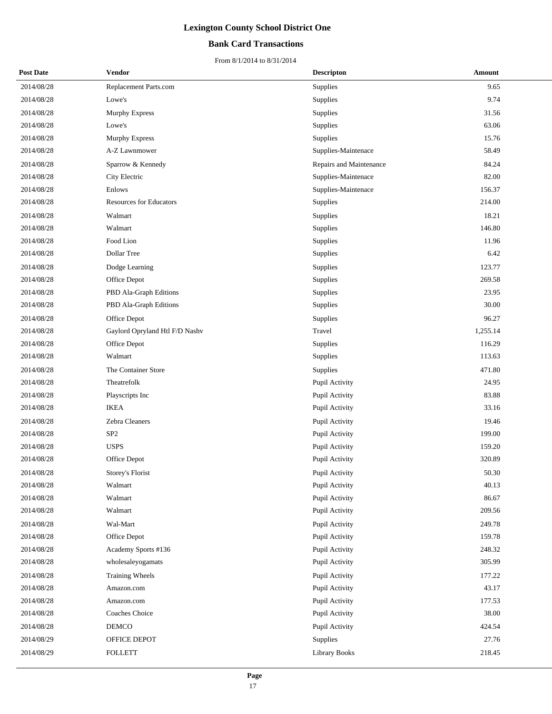## **Bank Card Transactions**

| <b>Post Date</b> | Vendor                         | <b>Descripton</b>       | Amount   |
|------------------|--------------------------------|-------------------------|----------|
| 2014/08/28       | Replacement Parts.com          | Supplies                | 9.65     |
| 2014/08/28       | Lowe's                         | Supplies                | 9.74     |
| 2014/08/28       | <b>Murphy Express</b>          | Supplies                | 31.56    |
| 2014/08/28       | Lowe's                         | Supplies                | 63.06    |
| 2014/08/28       | <b>Murphy Express</b>          | Supplies                | 15.76    |
| 2014/08/28       | A-Z Lawnmower                  | Supplies-Maintenace     | 58.49    |
| 2014/08/28       | Sparrow & Kennedy              | Repairs and Maintenance | 84.24    |
| 2014/08/28       | City Electric                  | Supplies-Maintenace     | 82.00    |
| 2014/08/28       | Enlows                         | Supplies-Maintenace     | 156.37   |
| 2014/08/28       | <b>Resources for Educators</b> | Supplies                | 214.00   |
| 2014/08/28       | Walmart                        | Supplies                | 18.21    |
| 2014/08/28       | Walmart                        | Supplies                | 146.80   |
| 2014/08/28       | Food Lion                      | Supplies                | 11.96    |
| 2014/08/28       | Dollar Tree                    | Supplies                | 6.42     |
| 2014/08/28       | Dodge Learning                 | Supplies                | 123.77   |
| 2014/08/28       | Office Depot                   | Supplies                | 269.58   |
| 2014/08/28       | PBD Ala-Graph Editions         | Supplies                | 23.95    |
| 2014/08/28       | PBD Ala-Graph Editions         | Supplies                | 30.00    |
| 2014/08/28       | Office Depot                   | Supplies                | 96.27    |
| 2014/08/28       | Gaylord Opryland Htl F/D Nashv | Travel                  | 1,255.14 |
| 2014/08/28       | Office Depot                   | Supplies                | 116.29   |
| 2014/08/28       | Walmart                        | Supplies                | 113.63   |
| 2014/08/28       | The Container Store            | Supplies                | 471.80   |
| 2014/08/28       | Theatrefolk                    | Pupil Activity          | 24.95    |
| 2014/08/28       | Playscripts Inc                | Pupil Activity          | 83.88    |
| 2014/08/28       | <b>IKEA</b>                    | Pupil Activity          | 33.16    |
| 2014/08/28       | Zebra Cleaners                 | Pupil Activity          | 19.46    |
| 2014/08/28       | SP <sub>2</sub>                | Pupil Activity          | 199.00   |
| 2014/08/28       | <b>USPS</b>                    | Pupil Activity          | 159.20   |
| 2014/08/28       | Office Depot                   | Pupil Activity          | 320.89   |
| 2014/08/28       | Storey's Florist               | Pupil Activity          | 50.30    |
| 2014/08/28       | Walmart                        | Pupil Activity          | 40.13    |
| 2014/08/28       | Walmart                        | Pupil Activity          | 86.67    |
| 2014/08/28       | Walmart                        | Pupil Activity          | 209.56   |
| 2014/08/28       | Wal-Mart                       | Pupil Activity          | 249.78   |
| 2014/08/28       | Office Depot                   | Pupil Activity          | 159.78   |
| 2014/08/28       | Academy Sports #136            | Pupil Activity          | 248.32   |
| 2014/08/28       | wholesaleyogamats              | Pupil Activity          | 305.99   |
| 2014/08/28       | <b>Training Wheels</b>         | Pupil Activity          | 177.22   |
| 2014/08/28       | Amazon.com                     | Pupil Activity          | 43.17    |
| 2014/08/28       | Amazon.com                     | Pupil Activity          | 177.53   |
| 2014/08/28       | Coaches Choice                 | Pupil Activity          | 38.00    |
| 2014/08/28       | DEMCO                          | Pupil Activity          | 424.54   |
| 2014/08/29       | OFFICE DEPOT                   | Supplies                | 27.76    |
| 2014/08/29       | <b>FOLLETT</b>                 | Library Books           | 218.45   |
|                  |                                |                         |          |